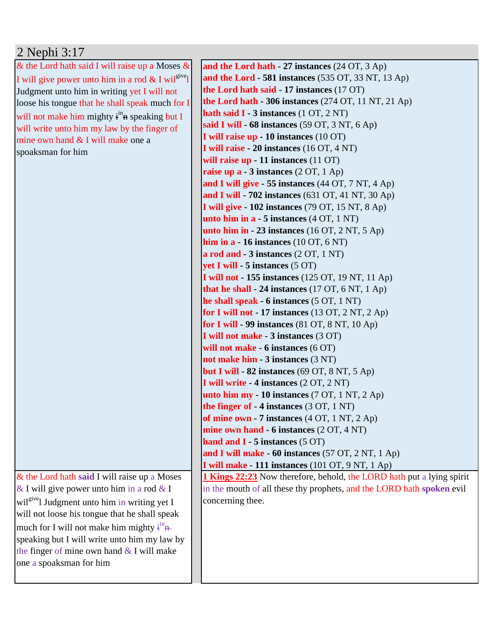## 2 Nephi 3:17

| & the Lord hath said I will raise up a Moses $\&$                    | and the Lord hath - 27 instances (24 OT, 3 Ap)                               |
|----------------------------------------------------------------------|------------------------------------------------------------------------------|
| I will give power unto him in a rod & I wil <sup>give</sup> l        | and the Lord - 581 instances (535 OT, 33 NT, 13 Ap)                          |
| Judgment unto him in writing yet I will not                          | the Lord hath said - 17 instances (17 OT)                                    |
| loose his tongue that he shall speak much for I                      | the Lord hath $-306$ instances (274 OT, 11 NT, 21 Ap)                        |
| will not make him mighty i <sup>in</sup> <sub>n</sub> speaking but I | hath said $I - 3$ instances $(1 OT, 2 NT)$                                   |
| will write unto him my law by the finger of                          | said I will - 68 instances (59 OT, 3 NT, 6 Ap)                               |
| mine own hand & I will make one a                                    | I will raise up - 10 instances (10 OT)                                       |
| spoaksman for him                                                    | I will raise - 20 instances (16 OT, 4 NT)                                    |
|                                                                      | will raise up - 11 instances $(11$ OT)                                       |
|                                                                      | raise up $a - 3$ instances $(2 OT, 1 Ap)$                                    |
|                                                                      | and I will give - 55 instances (44 OT, 7 NT, 4 Ap)                           |
|                                                                      | and I will - 702 instances (631 OT, 41 NT, 30 Ap)                            |
|                                                                      | I will give - 102 instances (79 OT, 15 NT, 8 Ap)                             |
|                                                                      | unto him in $a - 5$ instances $(4 OT, 1 NT)$                                 |
|                                                                      | unto him in $-23$ instances (16 OT, 2 NT, 5 Ap)                              |
|                                                                      | him in $a - 16$ instances (10 OT, 6 NT)                                      |
|                                                                      | a rod and $-3$ instances $(2 OT, 1 NT)$                                      |
|                                                                      | yet I will - 5 instances (5 OT)                                              |
|                                                                      | <b>I will not - 155 instances</b> (125 OT, 19 NT, 11 Ap)                     |
|                                                                      | that he shall - 24 instances $(17 \text{ OT}, 6 \text{ NT}, 1 \text{ Ap})$   |
|                                                                      | he shall speak - 6 instances (5 OT, 1 NT)                                    |
|                                                                      | for I will not - 17 instances $(13 OT, 2 NT, 2 Ap)$                          |
|                                                                      | for I will - 99 instances $(81 \text{ OT}, 8 \text{ NT}, 10 \text{ Ap})$     |
|                                                                      | I will not make - 3 instances (3 OT)                                         |
|                                                                      | will not make - $6$ instances $(6 \text{ OT})$                               |
|                                                                      | not make him - 3 instances (3 NT)                                            |
|                                                                      | but I will $-82$ instances (69 OT, 8 NT, 5 Ap)                               |
|                                                                      | I will write - 4 instances (2 OT, 2 NT)                                      |
|                                                                      | unto him my - 10 instances $(7 OT, 1 NT, 2 Ap)$                              |
|                                                                      | the finger of $-4$ instances (3 OT, 1 NT)                                    |
|                                                                      | of mine own - 7 instances $(4 OT, 1 NT, 2 Ap)$                               |
|                                                                      | mine own hand - 6 instances (2 OT, 4 NT)                                     |
|                                                                      | hand and $I - 5$ instances (5 OT)                                            |
|                                                                      | and I will make - 60 instances (57 OT, 2 NT, 1 Ap)                           |
|                                                                      | I will make - 111 instances (101 OT, 9 NT, 1 Ap)                             |
| & the Lord hath said I will raise up a Moses                         | <b>1 Kings 22:23</b> Now therefore, behold, the LORD hath put a lying spirit |
| & I will give power unto him in a rod & I                            | in the mouth of all these thy prophets, and the LORD hath spoken evil        |
| wil <sup>give</sup> l Judgment unto him in writing yet I             | concerning thee.                                                             |
| will not loose his tongue that he shall speak                        |                                                                              |
| much for I will not make him mighty $\dot{f}^{\text{in}}$            |                                                                              |
| speaking but I will write unto him my law by                         |                                                                              |
| the finger of mine own hand $&$ I will make                          |                                                                              |
| one a spoaksman for him                                              |                                                                              |
|                                                                      |                                                                              |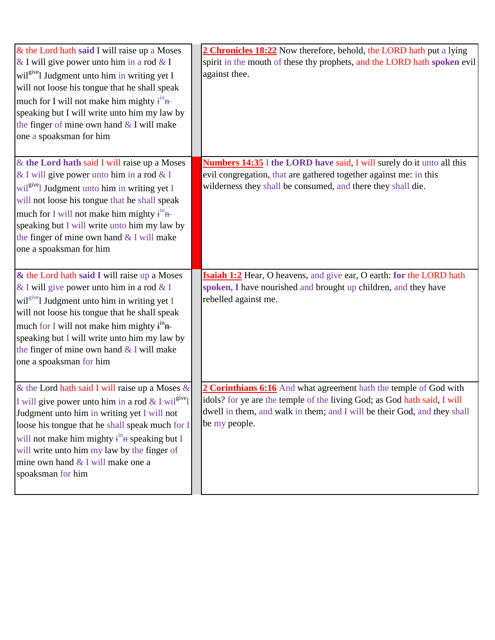| & the Lord hath said I will raise up a Moses<br>& I will give power unto him in a rod & I<br>wil <sup>give</sup> l Judgment unto him in writing yet I<br>will not loose his tongue that he shall speak<br>much for I will not make him mighty $\dot{f}^{\text{in}}$<br>speaking but I will write unto him my law by<br>the finger of mine own hand & I will make<br>one a spoaksman for him    | 2 Chronicles 18:22 Now therefore, behold, the LORD hath put a lying<br>spirit in the mouth of these thy prophets, and the LORD hath spoken evil<br>against thee.                                                                           |
|------------------------------------------------------------------------------------------------------------------------------------------------------------------------------------------------------------------------------------------------------------------------------------------------------------------------------------------------------------------------------------------------|--------------------------------------------------------------------------------------------------------------------------------------------------------------------------------------------------------------------------------------------|
| & the Lord hath said I will raise up a Moses<br>& I will give power unto him in a rod & I<br>wil <sup>give</sup> l Judgment unto him in writing yet I<br>will not loose his tongue that he shall speak<br>much for I will not make him mighty $\dot{f}^{\text{in}}$<br>speaking but I will write unto him my law by<br>the finger of mine own hand $&$ I will make<br>one a spoaksman for him  | <b>Numbers 14:35</b> I the LORD have said, I will surely do it unto all this<br>evil congregation, that are gathered together against me: in this<br>wilderness they shall be consumed, and there they shall die.                          |
| & the Lord hath said I will raise up a Moses<br>& I will give power unto him in a rod & I<br>wil <sup>give</sup> l Judgment unto him in writing yet I<br>will not loose his tongue that he shall speak<br>much for I will not make him mighty $\mathbf{i}^{\text{in}}$<br>speaking but I will write unto him my law by<br>the finger of mine own hand & I will make<br>one a spoaksman for him | Isaiah 1:2 Hear, O heavens, and give ear, O earth: for the LORD hath<br>spoken, I have nourished and brought up children, and they have<br>rebelled against me.                                                                            |
| & the Lord hath said I will raise up a Moses &<br>I will give power unto him in a rod & I wil <sup>give</sup> l<br>Judgment unto him in writing yet I will not<br>loose his tongue that he shall speak much for I<br>will not make him mighty $\dot{f}^{\text{in}}$ as speaking but I<br>will write unto him my law by the finger of<br>mine own hand & I will make one a<br>spoaksman for him | 2 Corinthians 6:16 And what agreement hath the temple of God with<br>idols? for ye are the temple of the living God; as God hath said, I will<br>dwell in them, and walk in them; and I will be their God, and they shall<br>be my people. |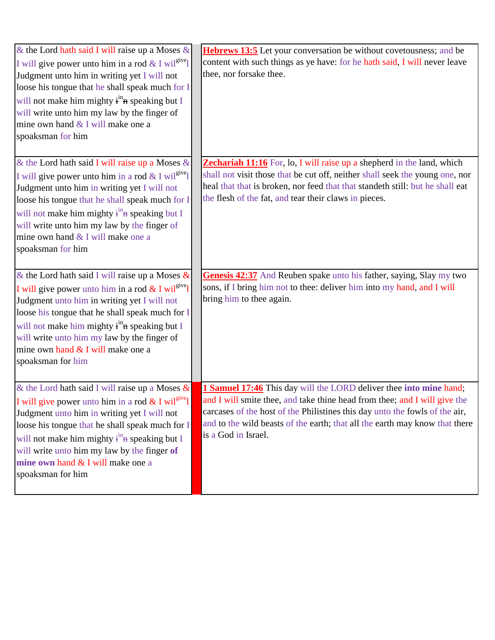| & the Lord hath said I will raise up a Moses &<br>I will give power unto him in a rod & I wil <sup>give</sup> l<br>Judgment unto him in writing yet I will not<br>loose his tongue that he shall speak much for I<br>will not make him mighty $\dot{f}^{\text{in}}$ as speaking but I<br>will write unto him my law by the finger of<br>mine own hand & I will make one a<br>spoaksman for him          | <b>Hebrews 13:5</b> Let your conversation be without covetousness; and be<br>content with such things as ye have: for he hath said, I will never leave<br>thee, nor forsake thee.                                                                                                                                                           |
|---------------------------------------------------------------------------------------------------------------------------------------------------------------------------------------------------------------------------------------------------------------------------------------------------------------------------------------------------------------------------------------------------------|---------------------------------------------------------------------------------------------------------------------------------------------------------------------------------------------------------------------------------------------------------------------------------------------------------------------------------------------|
| & the Lord hath said I will raise up a Moses &<br>I will give power unto him in a rod & I wil <sup>give</sup> l<br>Judgment unto him in writing yet I will not<br>loose his tongue that he shall speak much for I<br>will not make him mighty $\dot{f}^{\text{in}}$ as speaking but I<br>will write unto him my law by the finger of<br>mine own hand & I will make one a<br>spoaksman for him          | <b>Zechariah 11:16</b> For, lo, I will raise up a shepherd in the land, which<br>shall not visit those that be cut off, neither shall seek the young one, nor<br>heal that that is broken, nor feed that that standeth still: but he shall eat<br>the flesh of the fat, and tear their claws in pieces.                                     |
| & the Lord hath said I will raise up a Moses $\&$<br>I will give power unto him in a rod $&$ I wil <sup>give</sup> l<br>Judgment unto him in writing yet I will not<br>loose his tongue that he shall speak much for I<br>will not make him mighty i <sup>in</sup> <sub>n</sub> speaking but I<br>will write unto him my law by the finger of<br>mine own hand & I will make one a<br>spoaksman for him | Genesis 42:37 And Reuben spake unto his father, saying, Slay my two<br>sons, if I bring him not to thee: deliver him into my hand, and I will<br>bring him to thee again.                                                                                                                                                                   |
| & the Lord hath said I will raise up a Moses &<br>I will give power unto him in a rod $&$ I wil <sup>give</sup> l<br>Judgment unto him in writing yet I will not<br>loose his tongue that he shall speak much for I<br>will not make him mighty $\dot{f}^{\text{in}}$ as speaking but I<br>will write unto him my law by the finger of<br>mine own hand & I will make one a<br>spoaksman for him        | <b>1 Samuel 17:46</b> This day will the LORD deliver thee into mine hand;<br>and I will smite thee, and take thine head from thee; and I will give the<br>carcases of the host of the Philistines this day unto the fowls of the air,<br>and to the wild beasts of the earth; that all the earth may know that there<br>is a God in Israel. |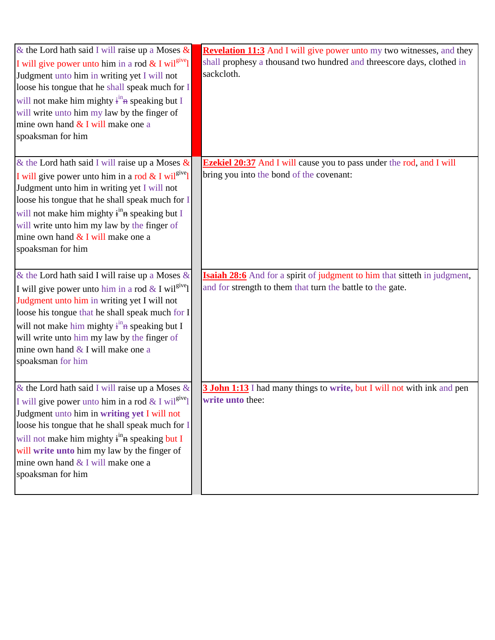| & the Lord hath said I will raise up a Moses $\&$<br>I will give power unto him in a rod & I wil <sup>give</sup> l<br>Judgment unto him in writing yet I will not<br>loose his tongue that he shall speak much for I<br>will not make him mighty $\frac{1}{1}$ <sup>in</sup> speaking but I<br>will write unto him my law by the finger of<br>mine own hand & I will make one a<br>spoaksman for him  | <b>Revelation 11:3</b> And I will give power unto my two witnesses, and they<br>shall prophesy a thousand two hundred and threescore days, clothed in<br>sackcloth. |
|-------------------------------------------------------------------------------------------------------------------------------------------------------------------------------------------------------------------------------------------------------------------------------------------------------------------------------------------------------------------------------------------------------|---------------------------------------------------------------------------------------------------------------------------------------------------------------------|
| & the Lord hath said I will raise up a Moses $\&$<br>I will give power unto him in a rod & I wil <sup>give</sup> l<br>Judgment unto him in writing yet I will not<br>loose his tongue that he shall speak much for I<br>will not make him mighty i <sup>in</sup> n speaking but I<br>will write unto him my law by the finger of<br>mine own hand $&$ I will make one a<br>spoaksman for him          | <b>Ezekiel 20:37</b> And I will cause you to pass under the rod, and I will<br>bring you into the bond of the covenant:                                             |
| & the Lord hath said I will raise up a Moses &<br>I will give power unto him in a rod & I wil <sup>give</sup> l<br>Judgment unto him in writing yet I will not<br>loose his tongue that he shall speak much for I<br>will not make him mighty $\dot{f}^{\text{in}}$ as speaking but I<br>will write unto him my law by the finger of<br>mine own hand $&$ I will make one a<br>spoaksman for him      | <b>Isaiah 28:6</b> And for a spirit of judgment to him that sitteth in judgment,<br>and for strength to them that turn the battle to the gate.                      |
| & the Lord hath said I will raise up a Moses $\&$<br>I will give power unto him in a rod & I wil <sup>give</sup> l<br>Judgment unto him in writing yet I will not<br>loose his tongue that he shall speak much for I<br>will not make him mighty i <sup>in</sup> <sub>n</sub> speaking but I<br>will write unto him my law by the finger of<br>mine own hand & I will make one a<br>spoaksman for him | <b>3 John 1:13</b> I had many things to write, but I will not with ink and pen<br>write unto thee:                                                                  |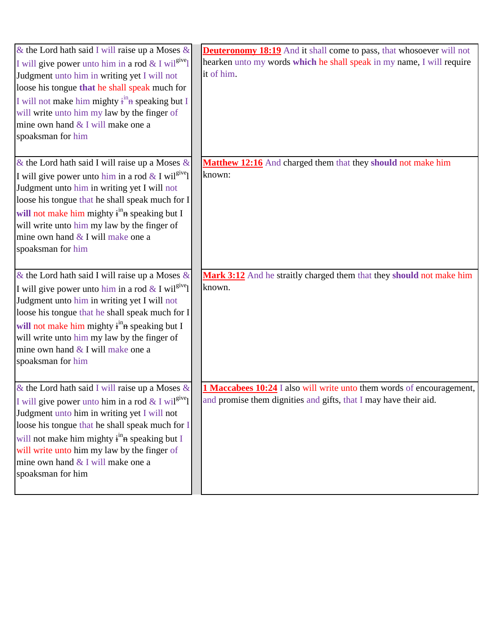| & the Lord hath said I will raise up a Moses $\&$<br>I will give power unto him in a rod & I wil <sup>give</sup> l<br>Judgment unto him in writing yet I will not<br>loose his tongue that he shall speak much for<br>I will not make him mighty $\dot{f}^{\text{in}}$ as speaking but I<br>will write unto him my law by the finger of<br>mine own hand & I will make one a<br>spoaksman for him | <b>Deuteronomy 18:19</b> And it shall come to pass, that whosoever will not<br>hearken unto my words which he shall speak in my name, I will require<br>it of him. |
|---------------------------------------------------------------------------------------------------------------------------------------------------------------------------------------------------------------------------------------------------------------------------------------------------------------------------------------------------------------------------------------------------|--------------------------------------------------------------------------------------------------------------------------------------------------------------------|
| & the Lord hath said I will raise up a Moses $\&$<br>I will give power unto him in a rod & I wil <sup>give</sup> l<br>Judgment unto him in writing yet I will not<br>loose his tongue that he shall speak much for I<br>will not make him mighty i <sup>in</sup> n speaking but I<br>will write unto him my law by the finger of<br>mine own hand $&$ I will make one a<br>spoaksman for him      | Matthew 12:16 And charged them that they should not make him<br>known:                                                                                             |
| & the Lord hath said I will raise up a Moses &<br>I will give power unto him in a rod & I wil <sup>give</sup> l<br>Judgment unto him in writing yet I will not<br>loose his tongue that he shall speak much for I<br>will not make him mighty $\dot{f}^{\text{in}}$ a speaking but I<br>will write unto him my law by the finger of<br>mine own hand $&$ I will make one a<br>spoaksman for him   | Mark 3:12 And he straitly charged them that they should not make him<br>known.                                                                                     |
| & the Lord hath said I will raise up a Moses $\&$<br>I will give power unto him in a rod & I wil <sup>give</sup> l<br>Judgment unto him in writing yet I will not<br>loose his tongue that he shall speak much for I<br>will not make him mighty $\dot{f}^{\text{in}}$ as speaking but I<br>will write unto him my law by the finger of<br>mine own hand & I will make one a<br>spoaksman for him | 1 Maccabees 10:24 I also will write unto them words of encouragement,<br>and promise them dignities and gifts, that I may have their aid.                          |